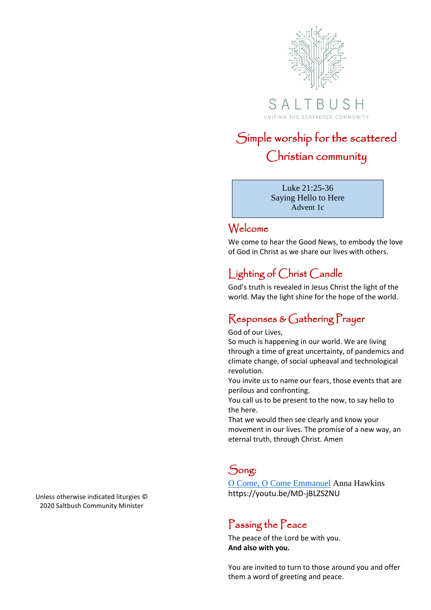

# Simple worship for the scattered Christian community

Luke 21:25-36 Saying Hello to Here Advent 1c

### Welcome

We come to hear the Good News, to embody the love of God in Christ as we share our lives with others.

## Lighting of Christ Candle

God's truth is revealed in Jesus Christ the light of the world. May the light shine for the hope of the world.

### Responses & Gathering Prayer

God of our Lives,

So much is happening in our world. We are living through a time of great uncertainty, of pandemics and climate change, of social upheaval and technological revolution.

You invite us to name our fears, those events that are perilous and confronting.

You call us to be present to the now, to say hello to the here.

That we would then see clearly and know your movement in our lives. The promise of a new way, an eternal truth, through Christ. Amen

### Song:

[O Come, O Come Emmanuel](https://youtu.be/MD-jBLZSZNU) Anna Hawkins https://youtu.be/MD-jBLZSZNU

### Passing the Peace

The peace of the Lord be with you. **And also with you.**

You are invited to turn to those around you and offer them a word of greeting and peace.

Unless otherwise indicated liturgies © 2020 Saltbush Community Minister